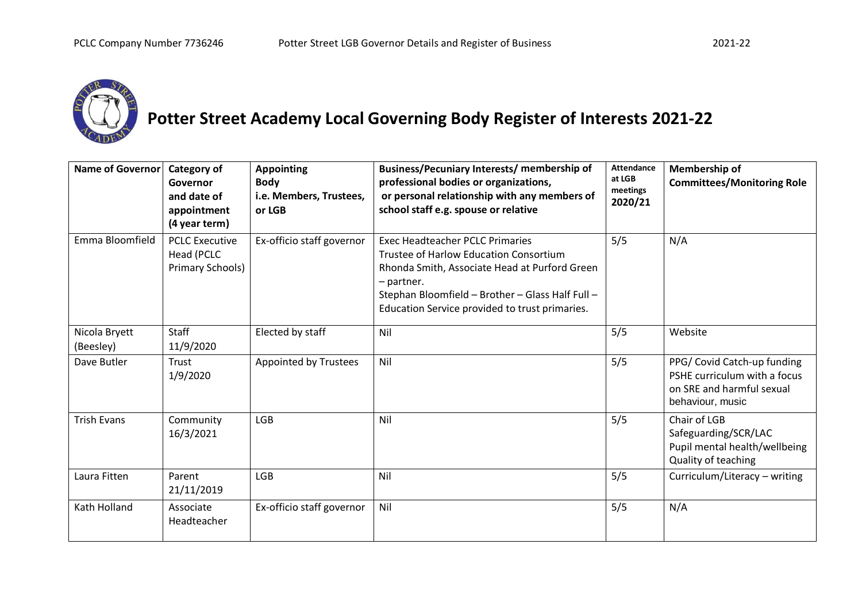

## **Potter Street Academy Local Governing Body Register of Interests 2021-22**

| Name of Governor           | Category of<br>Governor<br>and date of<br>appointment<br>(4 year term) | <b>Appointing</b><br><b>Body</b><br>i.e. Members, Trustees,<br>or LGB | Business/Pecuniary Interests/ membership of<br>professional bodies or organizations,<br>or personal relationship with any members of<br>school staff e.g. spouse or relative                                                                          | <b>Attendance</b><br>at LGB<br>meetings<br>2020/21 | Membership of<br><b>Committees/Monitoring Role</b>                                                           |
|----------------------------|------------------------------------------------------------------------|-----------------------------------------------------------------------|-------------------------------------------------------------------------------------------------------------------------------------------------------------------------------------------------------------------------------------------------------|----------------------------------------------------|--------------------------------------------------------------------------------------------------------------|
| Emma Bloomfield            | <b>PCLC Executive</b><br>Head (PCLC<br>Primary Schools)                | Ex-officio staff governor                                             | <b>Exec Headteacher PCLC Primaries</b><br>Trustee of Harlow Education Consortium<br>Rhonda Smith, Associate Head at Purford Green<br>- partner.<br>Stephan Bloomfield - Brother - Glass Half Full -<br>Education Service provided to trust primaries. | 5/5                                                | N/A                                                                                                          |
| Nicola Bryett<br>(Beesley) | Staff<br>11/9/2020                                                     | Elected by staff                                                      | Nil                                                                                                                                                                                                                                                   | 5/5                                                | Website                                                                                                      |
| Dave Butler                | Trust<br>1/9/2020                                                      | Appointed by Trustees                                                 | Nil                                                                                                                                                                                                                                                   | 5/5                                                | PPG/ Covid Catch-up funding<br>PSHE curriculum with a focus<br>on SRE and harmful sexual<br>behaviour, music |
| <b>Trish Evans</b>         | Community<br>16/3/2021                                                 | <b>LGB</b>                                                            | Nil                                                                                                                                                                                                                                                   | 5/5                                                | Chair of LGB<br>Safeguarding/SCR/LAC<br>Pupil mental health/wellbeing<br>Quality of teaching                 |
| Laura Fitten               | Parent<br>21/11/2019                                                   | <b>LGB</b>                                                            | Nil                                                                                                                                                                                                                                                   | 5/5                                                | Curriculum/Literacy - writing                                                                                |
| Kath Holland               | Associate<br>Headteacher                                               | Ex-officio staff governor                                             | Nil                                                                                                                                                                                                                                                   | 5/5                                                | N/A                                                                                                          |